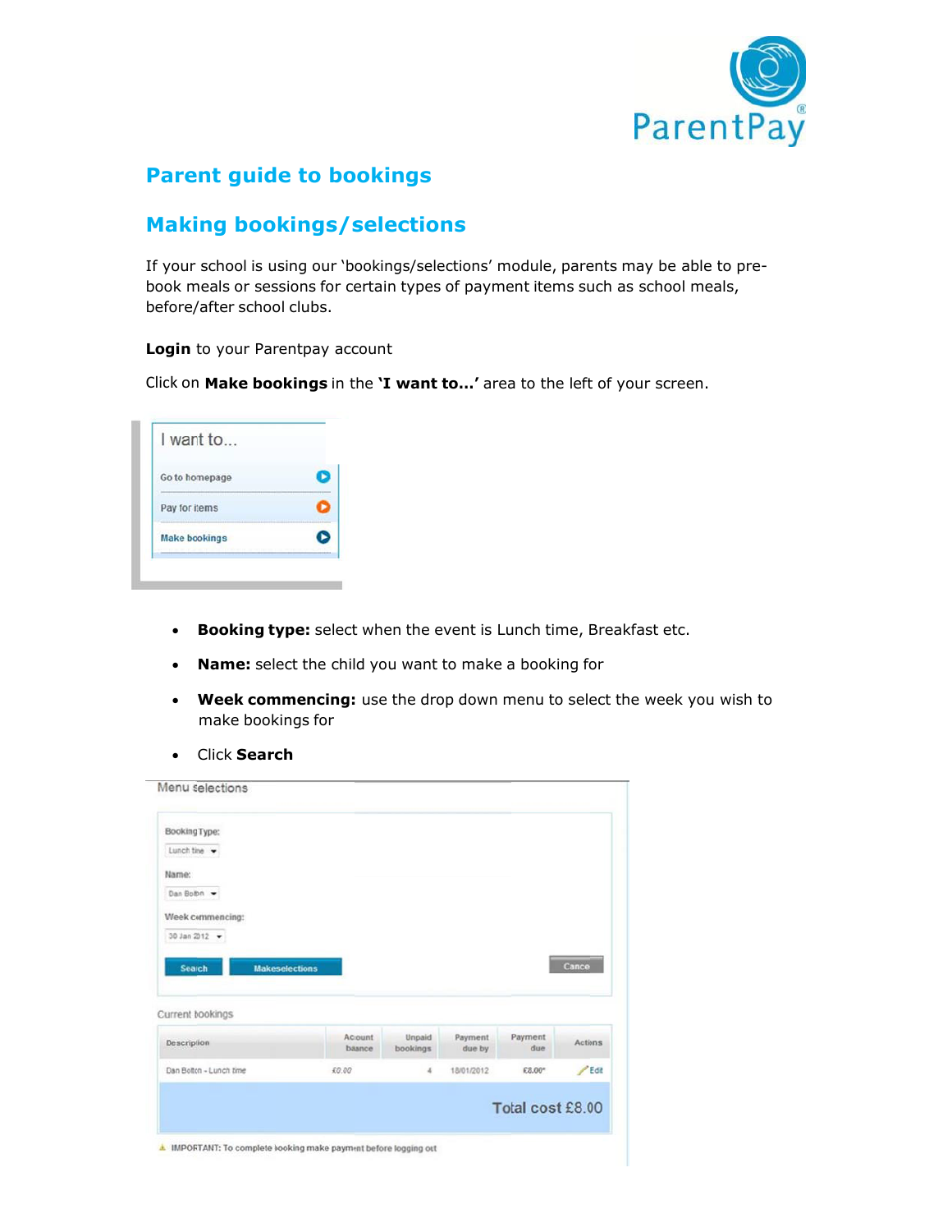

## **Parent guide to bookings**

# **Making bookings/selections**

If your school is using our 'bookings/selections' module, parents may be able to prebook meals or sessions for certain types of payment items such as school meals, before/after school clubs.

#### **Login** to your Parentpay account

Click on **Make bookings** in the **'I want to…'** area to the left of your screen.

| Go to homepage       |  |
|----------------------|--|
| Pay for items        |  |
| <b>Make bookings</b> |  |

- **Booking type:** select when the event is Lunch time, Breakfast etc.
- **Name:** select the child you want to make a booking for
- **Week commencing:** use the drop down menu to select the week you wish to make bookings for
- Click **Search**

| Booking Type:                   |                   |                    |                   |                |                |
|---------------------------------|-------------------|--------------------|-------------------|----------------|----------------|
| Lunch time -                    |                   |                    |                   |                |                |
| Name:                           |                   |                    |                   |                |                |
| Dan Boton                       |                   |                    |                   |                |                |
| Week commencing:                |                   |                    |                   |                |                |
|                                 |                   |                    |                   |                |                |
| 30 Jan 2012 -                   |                   |                    |                   |                |                |
| Search<br><b>Makeselections</b> |                   |                    |                   |                | Cancel         |
|                                 |                   |                    |                   |                |                |
| Current bookings<br>Description | Account<br>baance | Unpaid<br>bookings | Payment<br>due by | Payment<br>due | <b>Actions</b> |
| Dan Bolton - Lunch time         | £0.00             | 4                  | 18/01/2012        | £8.00*         | $P$ Edit       |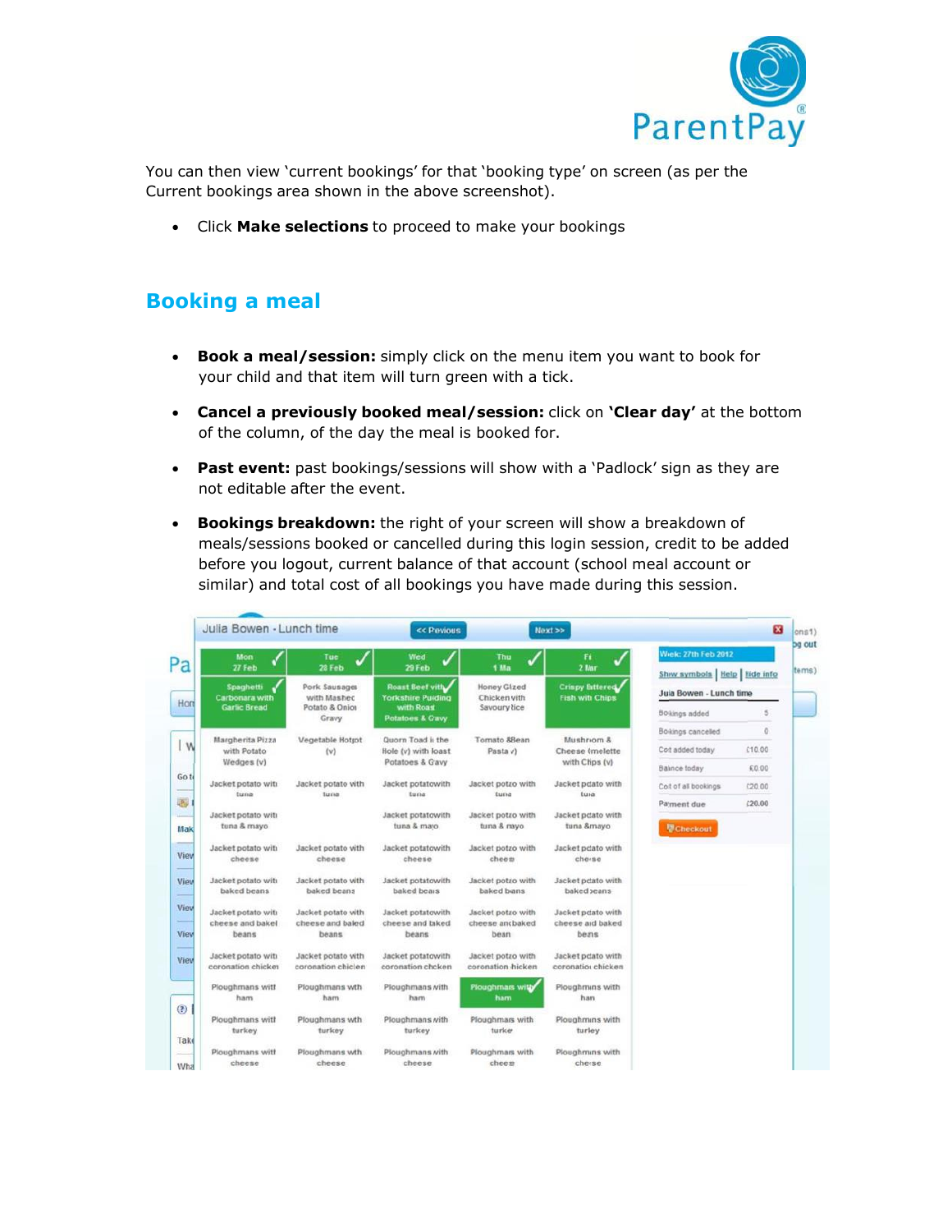

You can then view 'current bookings' for that 'booking type' on screen (as per the Current bookings area shown in the above screenshot).

Click **Make selections** to proceed to make your bookings

### **Booking a meal**

- **Book a meal/session:** simply click on the menu item you want to book for your child and that item will turn green with a tick.
- **Cancel a previously booked meal/session:** click on **'Clear day'** at the bottom of the column, of the day the meal is booked for.
- **Past event:** past bookings/sessions will show with a 'Padlock' sign as they are not editable after the event.
- **Bookings breakdown:** the right of your screen will show a breakdown of meals/sessions booked or cancelled during this login session, credit to be added before you logout, current balance of that account (school meal account or similar) and total cost of all bookings you have made during this session.

|     | Julia Bowen - Lunch time                 |                                          |                                             | << Previous<br>Next                     |                                           |                                                              | $\overline{\mathbf{x}}$ |
|-----|------------------------------------------|------------------------------------------|---------------------------------------------|-----------------------------------------|-------------------------------------------|--------------------------------------------------------------|-------------------------|
|     | Mon<br>27 Feb                            | Tue<br>28 Feb                            | Wed<br>29 Feb                               | Thu<br>$\checkmark$<br>1 Mar            | Fn<br>2 Mar                               | <b>Wek: 27th Feb 2012</b><br>Show symbols   Help   Hide info |                         |
|     | Spaghetti<br>Carbonara with              | Pork Sausager<br>with Mashed             | Roast Beef with<br><b>Yorkshire Pudding</b> | <b>Honey Glized</b><br>Chicken vith     | Crispy Bittered<br><b>Fish with Chips</b> | Jula Bowen - Lunch time                                      |                         |
|     | <b>Garlic Bread</b>                      | Potato & Onion<br>Gravy                  | with Roast<br><b>Potatoes &amp; Gavy</b>    | Savoury <i>kice</i>                     |                                           | Bo <sub>kings</sub> added                                    | 5                       |
|     | Margherita Pizza                         | Vegetable Hotpot                         | Quorn Toad is the                           | Tomato &Bean                            | Mushrom &                                 | Bookings cancelled                                           | ō                       |
| I W | with Potato                              | (v)                                      | Hole (v) with loast                         | Pasta (/)                               | Cheese (melette                           | Cott added today                                             | £10.00                  |
|     | Wedges (v)                               |                                          | Potatoes & G'avy                            |                                         | with Chips (v)                            | Balnce today                                                 | £0.00                   |
|     | Jacket potato with<br>tuna               | Jacket potato with<br>Turna              | Jacket potatowith<br>tuna                   | Jacket potao with<br>funa               | Jacket polato with<br>tura                | Cost of all bookings                                         | C20.00                  |
|     | Jacket potato with<br>tuna & mayo        |                                          | Jacket potatowith<br>tuna & mayo            | Jacket potao with<br>tuna & mayo        | Jacket polato with<br>tuna &mayo          | Payment due<br><b><i>V</i></b> Checkout                      | (20.00)                 |
|     | Jacket potato with<br>cheese             | Jacket potato with<br>cheese             | Jacket potatowith<br>cheese                 | Jacket potao with<br>cheess             | Jacket poiato with<br>cherse              |                                                              |                         |
|     | Jacket potato with<br>baked beans        | Jacket potato with<br>baked beans        | Jacket potatowith<br>baked bears            | Jacket potao with<br>baked beans        | Jacket poato with<br>baked seans          |                                                              |                         |
|     | Jacket potato with<br>cheese and bakel   | Jacket potato with<br>cheese and baked   | Jacket potatowith<br>cheese and biked       | Jacket potao with<br>cheese and baked   | Jacket poiato with<br>cheese aid baked    |                                                              |                         |
|     | beans                                    | beans                                    | beans                                       | beans                                   | beas                                      |                                                              |                         |
|     | Jacket potato with<br>coronation chicker | Jacket potato with<br>coronation chiclen | Jacket potatowith<br>coronation chcken      | Jacket potao with<br>coronation chicken | Jacket polato with<br>coronatios chicken  |                                                              |                         |
|     | Ploughmans with<br>ham                   | Ploughmans wth<br>ham                    | Ploughmans with<br>ham                      | Ploughmans with<br>ham                  | Ploughmins with<br>han                    |                                                              |                         |
|     | Ploughmans with<br>turkey                | Ploughmans wth<br>turkey                 | Ploughmans with<br>turkey                   | Ploughmans with<br>turke <sup>,</sup>   | Ploughmins with<br>turkey                 |                                                              |                         |
|     | Ploughmans with<br>cheese                | Ploughmans wth<br>cheese                 | Ploughmans with<br>cheese                   | Ploughmans with<br>cheese               | Ploughmins with<br>cherse                 |                                                              |                         |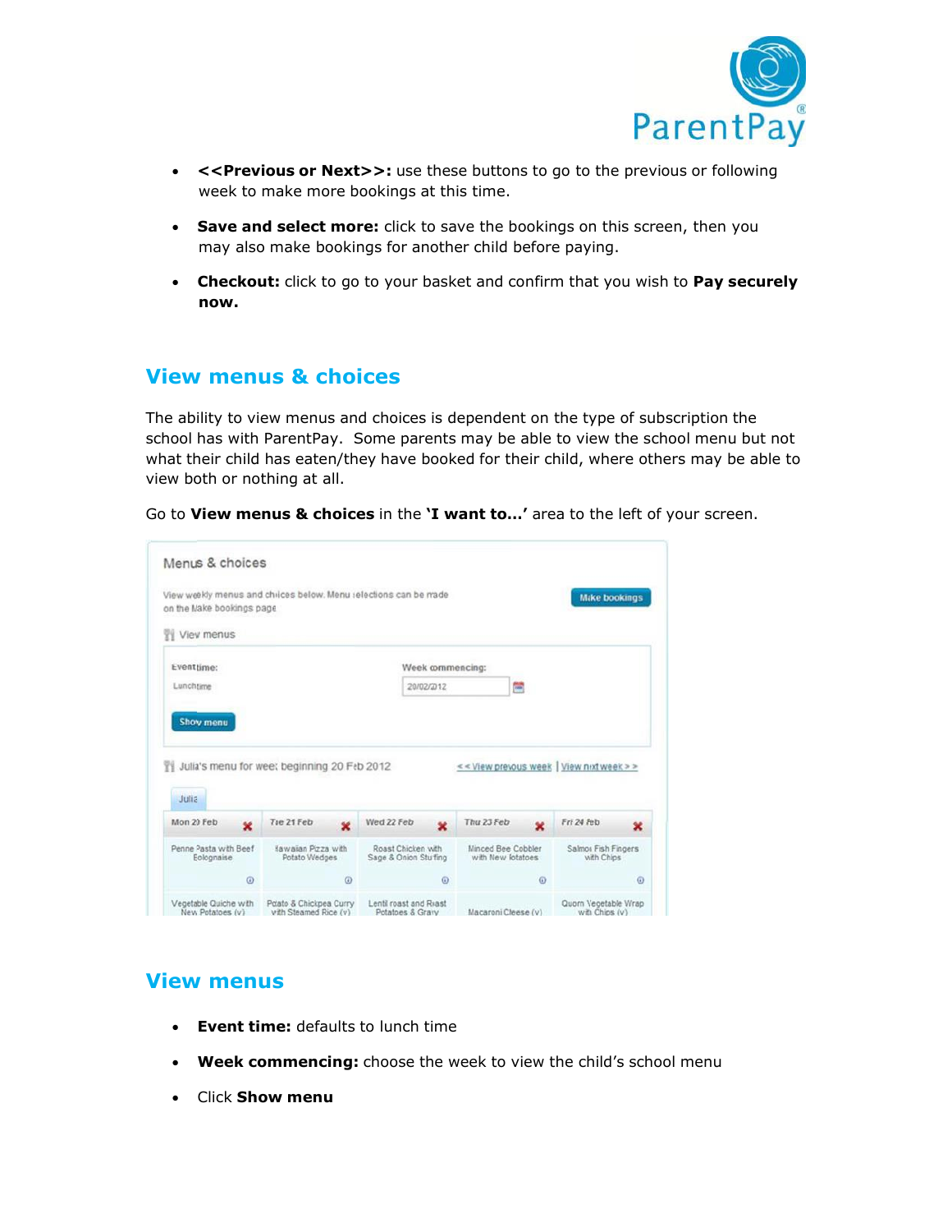

- **<<Previous or Next>>:** use these buttons to go to the previous or following week to make more bookings at this time.
- **Save and select more:** click to save the bookings on this screen, then you may also make bookings for another child before paying.
- **Checkout:** click to go to your basket and confirm that you wish to **Pay securely now.**

### **View menus & choices**

The ability to view menus and choices is dependent on the type of subscription the school has with ParentPay. Some parents may be able to view the school menu but not what their child has eaten/they have booked for their child, where others may be able to view both or nothing at all.

Go to **View menus & choices** in the **'I want to…'** area to the left of your screen.

| on the Make bookings page.                        | View weekly menus and choices below. Menu selections can be made |                 |                                             |                                          |          | <b>Make bookings</b>                      |         |
|---------------------------------------------------|------------------------------------------------------------------|-----------------|---------------------------------------------|------------------------------------------|----------|-------------------------------------------|---------|
| <b>TV</b> View menus                              |                                                                  |                 |                                             |                                          |          |                                           |         |
| Event time:                                       |                                                                  |                 | Week commencing:                            |                                          |          |                                           |         |
| Lunch time                                        |                                                                  |                 | 20/02/2012                                  |                                          | 两        |                                           |         |
|                                                   |                                                                  |                 |                                             |                                          |          |                                           |         |
| Julia                                             | Julia's menu for weet beginning 20 Feb 2012                      |                 |                                             |                                          |          | << View prevous week   View next week > > |         |
| $\mathbf x$                                       | Tae 21 Feb                                                       | Wed 22 Feb<br>× | $\mathbf{x}$                                | Thu 23 Feb                               | ×        | Fri 24 Feb                                | ×       |
| Mon 20 Feb<br>Penne Pasta with Beef<br>Bolognaise | <b>Hawaian Pizza with</b><br>Potato Wedges                       |                 | Roast Chicken with<br>Sage & Onion Stuffing | Minced Beet Cobbler<br>with New Potatoes |          | Salmon Fish Fingers<br>with Chips         |         |
| $\omega$                                          |                                                                  | $\omega$        | $\omega$                                    |                                          | $\omega$ |                                           | $\circ$ |

#### **View menus**

- **Event time:** defaults to lunch time
- **Week commencing:** choose the week to view the child's school menu
- Click **Show menu**